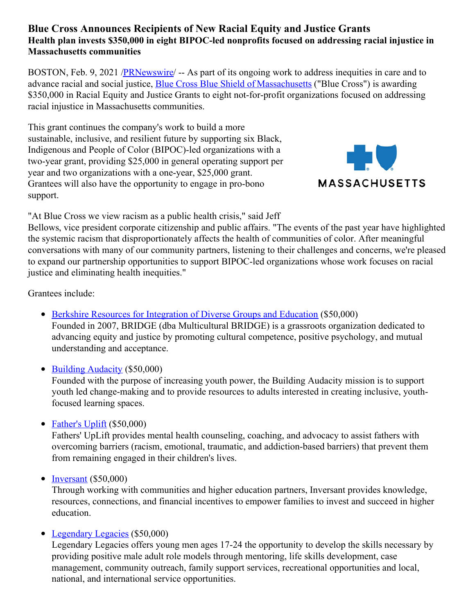# **Blue Cross Announces Recipients of New Racial Equity and Justice Grants Health plan invests \$350,000 in eight BIPOC-led nonprofits focused on addressing racial injustice in Massachusetts communities**

BOSTON, Feb. 9, 2021 [/PRNewswire](http://www.prnewswire.com/)/ -- As part of its ongoing work to address inequities in care and to advance racial and social justice, Blue Cross Blue Shield of [Massachusetts](https://c212.net/c/link/?t=0&l=en&o=3062769-1&h=3727720638&u=http%3A%2F%2Fwww.bluecrossma.org%2F&a=Blue+Cross+Blue+Shield+of+Massachusetts) ("Blue Cross") is awarding \$350,000 in Racial Equity and Justice Grants to eight not-for-profit organizations focused on addressing racial injustice in Massachusetts communities.

This grant continues the company's work to build a more sustainable, inclusive, and resilient future by supporting six Black, Indigenous and People of Color (BIPOC)-led organizations with a two-year grant, providing \$25,000 in general operating support per year and two organizations with a one-year, \$25,000 grant. Grantees will also have the opportunity to engage in pro-bono support.



"At Blue Cross we view racism as a public health crisis," said Jeff

Bellows, vice president corporate citizenship and public affairs. "The events of the past year have highlighted the systemic racism that disproportionately affects the health of communities of color. After meaningful conversations with many of our community partners, listening to their challenges and concerns, we're pleased to expand our partnership opportunities to support BIPOC-led organizations whose work focuses on racial justice and eliminating health inequities."

Grantees include:

• Berkshire Resources for [Integration](https://c212.net/c/link/?t=0&l=en&o=3062769-1&h=1037058298&u=https%3A%2F%2Fwww.multiculturalbridge.org%2F&a=Berkshire+Resources+for+Integration+of+Diverse+Groups+and+Education) of Diverse Groups and Education (\$50,000)

Founded in 2007, BRIDGE (dba Multicultural BRIDGE) is a grassroots organization dedicated to advancing equity and justice by promoting cultural competence, positive psychology, and mutual understanding and acceptance.

• Building [Audacity](https://c212.net/c/link/?t=0&l=en&o=3062769-1&h=1120914637&u=https%3A%2F%2Fwww.buildingaudacity.org%2F&a=Building+Audacity) (\$50,000)

Founded with the purpose of increasing youth power, the Building Audacity mission is to support youth led change-making and to provide resources to adults interested in creating inclusive, youthfocused learning spaces.

# • [Father's](https://c212.net/c/link/?t=0&l=en&o=3062769-1&h=1182103139&u=https%3A%2F%2Fwww.fathersuplift.org%2F&a=Father%27s+Uplift) Uplift  $(\$50,000)$

Fathers' UpLift provides mental health counseling, coaching, and advocacy to assist fathers with overcoming barriers (racism, emotional, traumatic, and addiction-based barriers) that prevent them from remaining engaged in their children's lives.

# $\bullet$  [Inversant](https://c212.net/c/link/?t=0&l=en&o=3062769-1&h=2718636943&u=https%3A%2F%2Finversant.org%2F&a=Inversant) (\$50,000)

Through working with communities and higher education partners, Inversant provides knowledge, resources, connections, and financial incentives to empower families to invest and succeed in higher education.

# • [Legendary](https://c212.net/c/link/?t=0&l=en&o=3062769-1&h=3972114362&u=https%3A%2F%2Fwww.legendlegacy.org%2F&a=Legendary+Legacies) Legacies (\$50,000)

Legendary Legacies offers young men ages 17-24 the opportunity to develop the skills necessary by providing positive male adult role models through mentoring, life skills development, case management, community outreach, family support services, recreational opportunities and local, national, and international service opportunities.